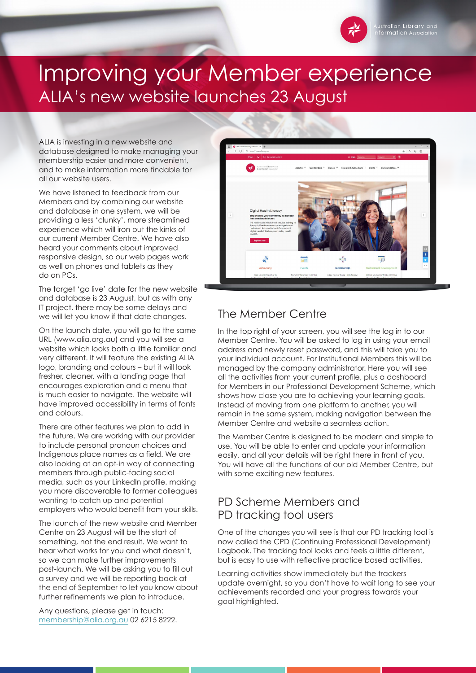

# Improving your Member experience ALIA's new website launches 23 August

ALIA is investing in a new website and database designed to make managing your membership easier and more convenient, and to make information more findable for all our website users.

We have listened to feedback from our Members and by combining our website and database in one system, we will be providing a less 'clunky', more streamlined experience which will iron out the kinks of our current Member Centre. We have also heard your comments about improved responsive design, so our web pages work as well on phones and tablets as they do on PCs.

The target 'go live' date for the new website and database is 23 August, but as with any IT project, there may be some delays and we will let you know if that date changes.

On the launch date, you will go to the same URL (www.alia.org.au) and you will see a website which looks both a little familiar and very different. It will feature the existing ALIA logo, branding and colours – but it will look fresher, cleaner, with a landing page that encourages exploration and a menu that is much easier to navigate. The website will have improved accessibility in terms of fonts and colours.

There are other features we plan to add in the future. We are working with our provider to include personal pronoun choices and Indigenous place names as a field. We are also looking at an opt-in way of connecting members through public-facing social media, such as your LinkedIn profile, making you more discoverable to former colleagues wanting to catch up and potential employers who would benefit from your skills.

The launch of the new website and Member Centre on 23 August will be the start of something, not the end result. We want to hear what works for you and what doesn't, so we can make further improvements post-launch. We will be asking you to fill out a survey and we will be reporting back at the end of September to let you know about further refinements we plan to introduce.

Any questions, please get in touch: [membership@alia.org.au](mailto:membership%40alia.org.au?subject=) 02 6215 8222.



## The Member Centre

In the top right of your screen, you will see the log in to our Member Centre. You will be asked to log in using your email address and newly reset password, and this will take you to your individual account. For Institutional Members this will be managed by the company administrator. Here you will see all the activities from your current profile, plus a dashboard for Members in our Professional Development Scheme, which shows how close you are to achieving your learning goals. Instead of moving from one platform to another, you will remain in the same system, making navigation between the Member Centre and website a seamless action.

The Member Centre is designed to be modern and simple to use. You will be able to enter and update your information easily, and all your details will be right there in front of you. You will have all the functions of our old Member Centre, but with some exciting new features.

### PD Scheme Members and PD tracking tool users

One of the changes you will see is that our PD tracking tool is now called the CPD (Continuing Professional Development) Logbook. The tracking tool looks and feels a little different, but is easy to use with reflective practice based activities.

Learning activities show immediately but the trackers update overnight, so you don't have to wait long to see your achievements recorded and your progress towards your goal highlighted.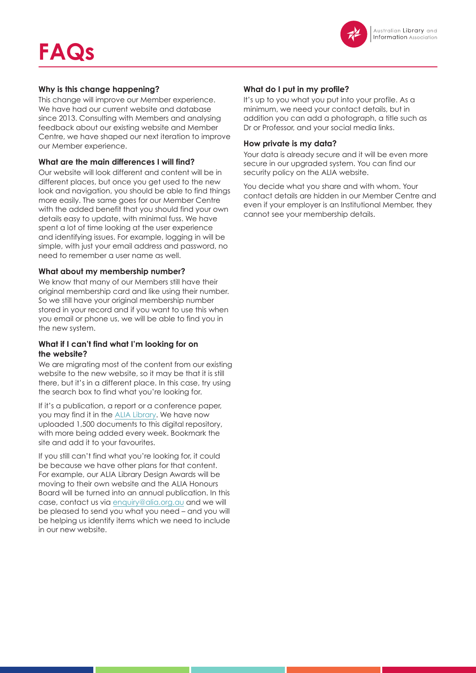

#### **Why is this change happening?**

This change will improve our Member experience. We have had our current website and database since 2013. Consulting with Members and analysing feedback about our existing website and Member Centre, we have shaped our next iteration to improve our Member experience.

#### **What are the main differences I will find?**

Our website will look different and content will be in different places, but once you get used to the new look and navigation, you should be able to find things more easily. The same goes for our Member Centre with the added benefit that you should find your own details easy to update, with minimal fuss. We have spent a lot of time looking at the user experience and identifying issues. For example, logging in will be simple, with just your email address and password, no need to remember a user name as well.

#### **What about my membership number?**

We know that many of our Members still have their original membership card and like using their number. So we still have your original membership number stored in your record and if you want to use this when you email or phone us, we will be able to find you in the new system.

#### **What if I can't find what I'm looking for on the website?**

We are migrating most of the content from our existing website to the new website, so it may be that it is still there, but it's in a different place. In this case, try using the search box to find what you're looking for.

If it's a publication, a report or a conference paper, you may find it in the [ALIA Library](https://read.alia.org.au/). We have now uploaded 1,500 documents to this digital repository, with more being added every week. Bookmark the site and add it to your favourites.

If you still can't find what you're looking for, it could be because we have other plans for that content. For example, our ALIA Library Design Awards will be moving to their own website and the ALIA Honours Board will be turned into an annual publication. In this case, contact us via [enquiry@alia.org.au](mailto:enquiry%40alia.org.au?subject=) and we will be pleased to send you what you need – and you will be helping us identify items which we need to include in our new website.

#### **What do I put in my profile?**

It's up to you what you put into your profile. As a minimum, we need your contact details, but in addition you can add a photograph, a title such as Dr or Professor, and your social media links.

#### **How private is my data?**

Your data is already secure and it will be even more secure in our upgraded system. You can find our security policy on the ALIA website.

You decide what you share and with whom. Your contact details are hidden in our Member Centre and even if your employer is an Institutional Member, they cannot see your membership details.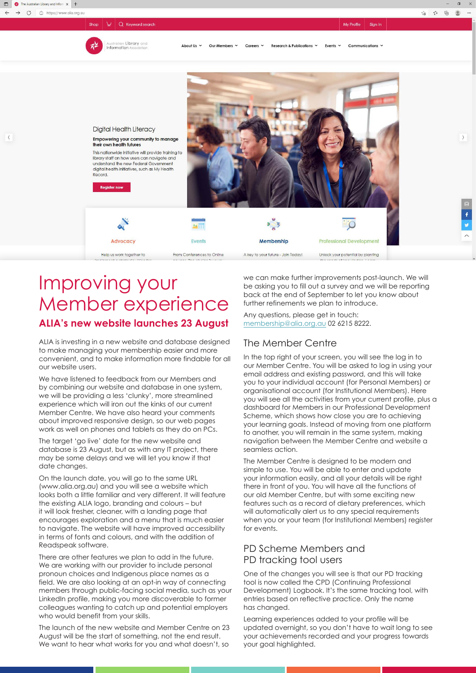$\langle$ 

My Profile Sign in

宿 炸 庙

 $\frac{1}{2}$ 

 $\rightarrow$ 



Shop  $\left|\right.\n\cdot\right|$  Q Keyword search

About Us v Our Members Y Careers  $\vee$ Research & Publications v Events v Communications \



## Improving your Member experience **ALIA's new website launches 23 August**

ALIA is investing in a new website and database designed to make managing your membership easier and more convenient, and to make information more findable for all our website users.

We have listened to feedback from our Members and by combining our website and database in one system, we will be providing a less 'clunky', more streamlined experience which will iron out the kinks of our current Member Centre. We have also heard your comments about improved responsive design, so our web pages work as well on phones and tablets as they do on PCs.

The target 'go live' date for the new website and database is 23 August, but as with any IT project, there may be some delays and we will let you know if that date changes.

On the launch date, you will go to the same URL (www.alia.org.au) and you will see a website which looks both a little familiar and very different. It will feature the existing ALIA logo, branding and colours – but it will look fresher, cleaner, with a landing page that encourages exploration and a menu that is much easier to navigate. The website will have improved accessibility in terms of fonts and colours, and with the addition of Readspeak software.

There are other features we plan to add in the future. We are working with our provider to include personal pronoun choices and Indigenous place names as a field. We are also looking at an opt-in way of connecting members through public-facing social media, such as your LinkedIn profile, making you more discoverable to former colleagues wanting to catch up and potential employers who would benefit from your skills.

The launch of the new website and Member Centre on 23 August will be the start of something, not the end result. We want to hear what works for you and what doesn't, so

we can make further improvements post-launch. We will be asking you to fill out a survey and we will be reporting back at the end of September to let you know about further refinements we plan to introduce.

Any questions, please get in touch: [membership@alia.org.au](mailto:membership%40alia.org.au?subject=) 02 6215 8222.

#### The Member Centre

In the top right of your screen, you will see the log in to our Member Centre. You will be asked to log in using your email address and existing password, and this will take you to your individual account (for Personal Members) or organisational account (for Institutional Members). Here you will see all the activities from your current profile, plus a dashboard for Members in our Professional Development Scheme, which shows how close you are to achieving your learning goals. Instead of moving from one platform to another, you will remain in the same system, making navigation between the Member Centre and website a seamless action.

The Member Centre is designed to be modern and simple to use. You will be able to enter and update your information easily, and all your details will be right there in front of you. You will have all the functions of our old Member Centre, but with some exciting new features such as a record of dietary preferences, which will automatically alert us to any special requirements when you or your team (for Institutional Members) register for events.

#### PD Scheme Members and PD tracking tool users

One of the changes you will see is that our PD tracking tool is now called the CPD (Continuing Professional Development) Logbook. It's the same tracking tool, with entries based on reflective practice. Only the name has changed.

Learning experiences added to your profile will be updated overnight, so you don't have to wait long to see your achievements recorded and your progress towards your goal highlighted.